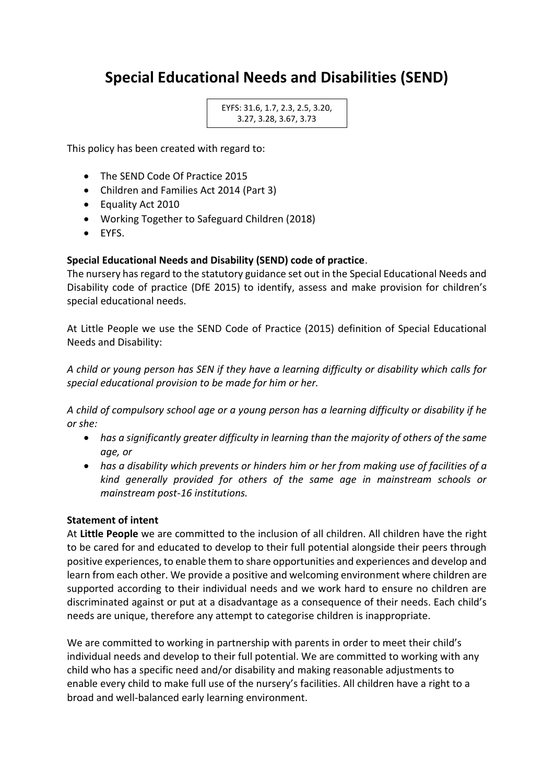# **Special Educational Needs and Disabilities (SEND)**

EYFS: 31.6, 1.7, 2.3, 2.5, 3.20, 3.27, 3.28, 3.67, 3.73

This policy has been created with regard to:

- The SEND Code Of Practice 2015
- Children and Families Act 2014 (Part 3)
- Equality Act 2010
- Working Together to Safeguard Children (2018)
- EYFS.

## **Special Educational Needs and Disability (SEND) code of practice**.

The nursery has regard to the statutory guidance set out in the Special Educational Needs and Disability code of practice (DfE 2015) to identify, assess and make provision for children's special educational needs.

At Little People we use the SEND Code of Practice (2015) definition of Special Educational Needs and Disability:

*A child or young person has SEN if they have a learning difficulty or disability which calls for special educational provision to be made for him or her.*

*A child of compulsory school age or a young person has a learning difficulty or disability if he or she:*

- *has a significantly greater difficulty in learning than the majority of others of the same age, or*
- *has a disability which prevents or hinders him or her from making use of facilities of a kind generally provided for others of the same age in mainstream schools or mainstream post-16 institutions.*

#### **Statement of intent**

At **Little People** we are committed to the inclusion of all children. All children have the right to be cared for and educated to develop to their full potential alongside their peers through positive experiences, to enable them to share opportunities and experiences and develop and learn from each other. We provide a positive and welcoming environment where children are supported according to their individual needs and we work hard to ensure no children are discriminated against or put at a disadvantage as a consequence of their needs. Each child's needs are unique, therefore any attempt to categorise children is inappropriate.

We are committed to working in partnership with parents in order to meet their child's individual needs and develop to their full potential. We are committed to working with any child who has a specific need and/or disability and making reasonable adjustments to enable every child to make full use of the nursery's facilities. All children have a right to a broad and well-balanced early learning environment.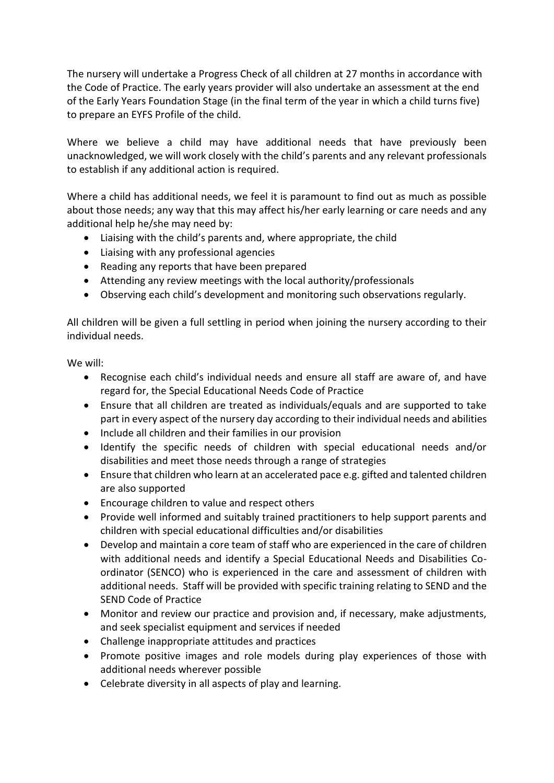The nursery will undertake a Progress Check of all children at 27 months in accordance with the Code of Practice. The early years provider will also undertake an assessment at the end of the Early Years Foundation Stage (in the final term of the year in which a child turns five) to prepare an EYFS Profile of the child.

Where we believe a child may have additional needs that have previously been unacknowledged, we will work closely with the child's parents and any relevant professionals to establish if any additional action is required.

Where a child has additional needs, we feel it is paramount to find out as much as possible about those needs; any way that this may affect his/her early learning or care needs and any additional help he/she may need by:

- Liaising with the child's parents and, where appropriate, the child
- Liaising with any professional agencies
- Reading any reports that have been prepared
- Attending any review meetings with the local authority/professionals
- Observing each child's development and monitoring such observations regularly.

All children will be given a full settling in period when joining the nursery according to their individual needs.

We will:

- Recognise each child's individual needs and ensure all staff are aware of, and have regard for, the Special Educational Needs Code of Practice
- Ensure that all children are treated as individuals/equals and are supported to take part in every aspect of the nursery day according to their individual needs and abilities
- Include all children and their families in our provision
- Identify the specific needs of children with special educational needs and/or disabilities and meet those needs through a range of strategies
- Ensure that children who learn at an accelerated pace e.g. gifted and talented children are also supported
- Encourage children to value and respect others
- Provide well informed and suitably trained practitioners to help support parents and children with special educational difficulties and/or disabilities
- Develop and maintain a core team of staff who are experienced in the care of children with additional needs and identify a Special Educational Needs and Disabilities Coordinator (SENCO) who is experienced in the care and assessment of children with additional needs. Staff will be provided with specific training relating to SEND and the SEND Code of Practice
- Monitor and review our practice and provision and, if necessary, make adjustments, and seek specialist equipment and services if needed
- Challenge inappropriate attitudes and practices
- Promote positive images and role models during play experiences of those with additional needs wherever possible
- Celebrate diversity in all aspects of play and learning.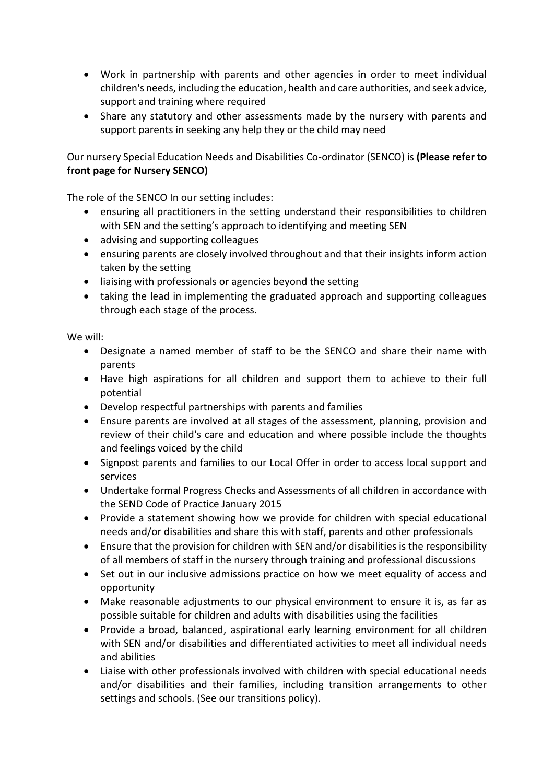- Work in partnership with parents and other agencies in order to meet individual children's needs, including the education, health and care authorities, and seek advice, support and training where required
- Share any statutory and other assessments made by the nursery with parents and support parents in seeking any help they or the child may need

Our nursery Special Education Needs and Disabilities Co-ordinator (SENCO) is **(Please refer to front page for Nursery SENCO)**

The role of the SENCO In our setting includes:

- ensuring all practitioners in the setting understand their responsibilities to children with SEN and the setting's approach to identifying and meeting SEN
- advising and supporting colleagues
- ensuring parents are closely involved throughout and that their insights inform action taken by the setting
- liaising with professionals or agencies beyond the setting
- taking the lead in implementing the graduated approach and supporting colleagues through each stage of the process.

We will:

- Designate a named member of staff to be the SENCO and share their name with parents
- Have high aspirations for all children and support them to achieve to their full potential
- Develop respectful partnerships with parents and families
- Ensure parents are involved at all stages of the assessment, planning, provision and review of their child's care and education and where possible include the thoughts and feelings voiced by the child
- Signpost parents and families to our Local Offer in order to access local support and services
- Undertake formal Progress Checks and Assessments of all children in accordance with the SEND Code of Practice January 2015
- Provide a statement showing how we provide for children with special educational needs and/or disabilities and share this with staff, parents and other professionals
- Ensure that the provision for children with SEN and/or disabilities is the responsibility of all members of staff in the nursery through training and professional discussions
- Set out in our inclusive admissions practice on how we meet equality of access and opportunity
- Make reasonable adjustments to our physical environment to ensure it is, as far as possible suitable for children and adults with disabilities using the facilities
- Provide a broad, balanced, aspirational early learning environment for all children with SEN and/or disabilities and differentiated activities to meet all individual needs and abilities
- Liaise with other professionals involved with children with special educational needs and/or disabilities and their families, including transition arrangements to other settings and schools. (See our transitions policy).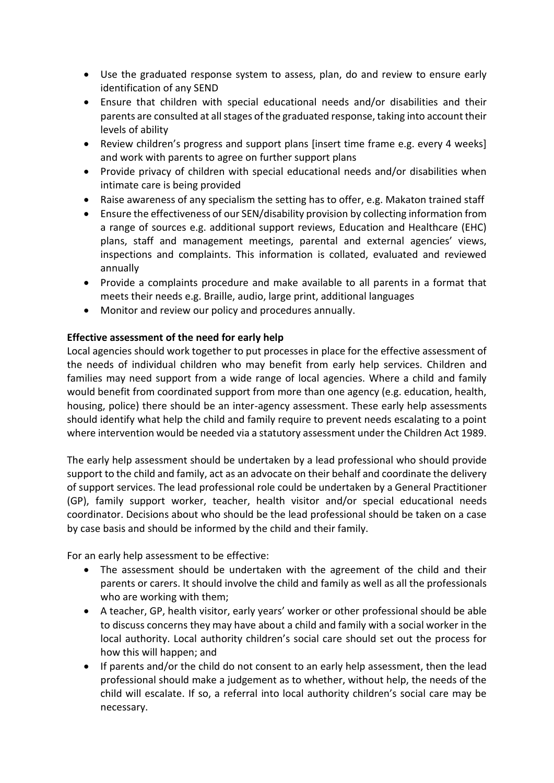- Use the graduated response system to assess, plan, do and review to ensure early identification of any SEND
- Ensure that children with special educational needs and/or disabilities and their parents are consulted at all stages of the graduated response, taking into account their levels of ability
- Review children's progress and support plans [insert time frame e.g. every 4 weeks] and work with parents to agree on further support plans
- Provide privacy of children with special educational needs and/or disabilities when intimate care is being provided
- Raise awareness of any specialism the setting has to offer, e.g. Makaton trained staff
- Ensure the effectiveness of our SEN/disability provision by collecting information from a range of sources e.g. additional support reviews, Education and Healthcare (EHC) plans, staff and management meetings, parental and external agencies' views, inspections and complaints. This information is collated, evaluated and reviewed annually
- Provide a complaints procedure and make available to all parents in a format that meets their needs e.g. Braille, audio, large print, additional languages
- Monitor and review our policy and procedures annually.

## **Effective assessment of the need for early help**

Local agencies should work together to put processes in place for the effective assessment of the needs of individual children who may benefit from early help services. Children and families may need support from a wide range of local agencies. Where a child and family would benefit from coordinated support from more than one agency (e.g. education, health, housing, police) there should be an inter-agency assessment. These early help assessments should identify what help the child and family require to prevent needs escalating to a point where intervention would be needed via a statutory assessment under the Children Act 1989.

The early help assessment should be undertaken by a lead professional who should provide support to the child and family, act as an advocate on their behalf and coordinate the delivery of support services. The lead professional role could be undertaken by a General Practitioner (GP), family support worker, teacher, health visitor and/or special educational needs coordinator. Decisions about who should be the lead professional should be taken on a case by case basis and should be informed by the child and their family.

For an early help assessment to be effective:

- The assessment should be undertaken with the agreement of the child and their parents or carers. It should involve the child and family as well as all the professionals who are working with them;
- A teacher, GP, health visitor, early years' worker or other professional should be able to discuss concerns they may have about a child and family with a social worker in the local authority. Local authority children's social care should set out the process for how this will happen; and
- If parents and/or the child do not consent to an early help assessment, then the lead professional should make a judgement as to whether, without help, the needs of the child will escalate. If so, a referral into local authority children's social care may be necessary.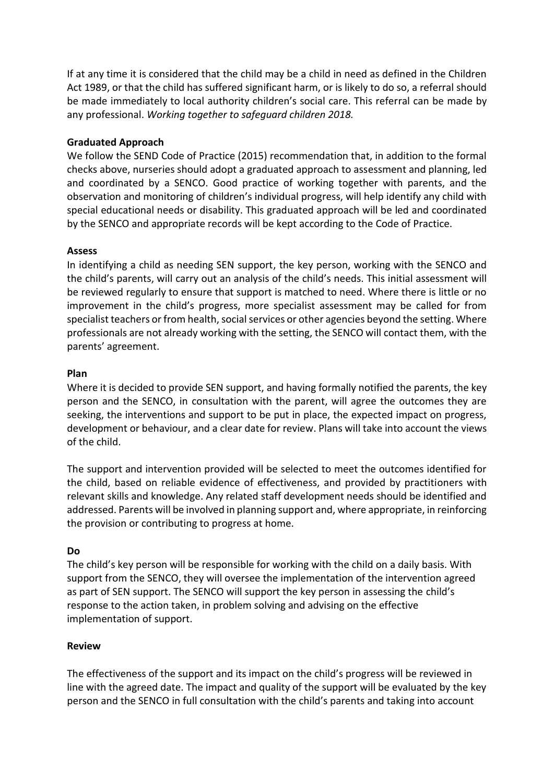If at any time it is considered that the child may be a child in need as defined in the Children Act 1989, or that the child has suffered significant harm, or is likely to do so, a referral should be made immediately to local authority children's social care. This referral can be made by any professional. *Working together to safeguard children 2018.*

#### **Graduated Approach**

We follow the SEND Code of Practice (2015) recommendation that, in addition to the formal checks above, nurseries should adopt a graduated approach to assessment and planning, led and coordinated by a SENCO. Good practice of working together with parents, and the observation and monitoring of children's individual progress, will help identify any child with special educational needs or disability. This graduated approach will be led and coordinated by the SENCO and appropriate records will be kept according to the Code of Practice.

#### **Assess**

In identifying a child as needing SEN support, the key person, working with the SENCO and the child's parents, will carry out an analysis of the child's needs. This initial assessment will be reviewed regularly to ensure that support is matched to need. Where there is little or no improvement in the child's progress, more specialist assessment may be called for from specialist teachers or from health, social services or other agencies beyond the setting. Where professionals are not already working with the setting, the SENCO will contact them, with the parents' agreement.

## **Plan**

Where it is decided to provide SEN support, and having formally notified the parents, the key person and the SENCO, in consultation with the parent, will agree the outcomes they are seeking, the interventions and support to be put in place, the expected impact on progress, development or behaviour, and a clear date for review. Plans will take into account the views of the child.

The support and intervention provided will be selected to meet the outcomes identified for the child, based on reliable evidence of effectiveness, and provided by practitioners with relevant skills and knowledge. Any related staff development needs should be identified and addressed. Parents will be involved in planning support and, where appropriate, in reinforcing the provision or contributing to progress at home.

#### **Do**

The child's key person will be responsible for working with the child on a daily basis. With support from the SENCO, they will oversee the implementation of the intervention agreed as part of SEN support. The SENCO will support the key person in assessing the child's response to the action taken, in problem solving and advising on the effective implementation of support.

#### **Review**

The effectiveness of the support and its impact on the child's progress will be reviewed in line with the agreed date. The impact and quality of the support will be evaluated by the key person and the SENCO in full consultation with the child's parents and taking into account